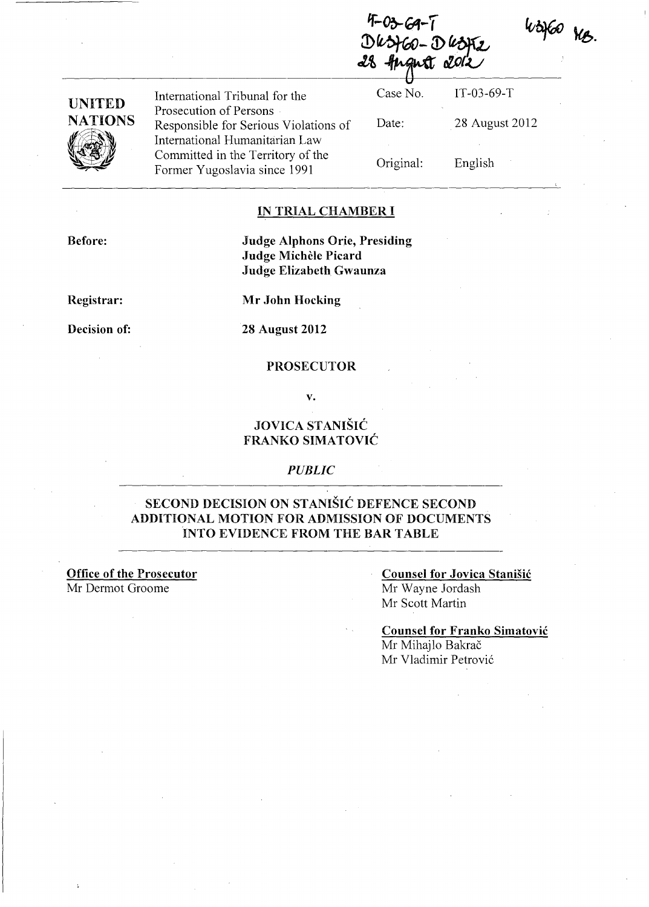Angust 201

| UNITED  |
|---------|
| NATIONS |
|         |

International Tribunal for the Prosecution of Persons Responsible for Serious Violations of International Humanitarian Law Committed in the Territory of the Former Yugoslavia since 1991

Case No. Date: Original: IT-03-69-T 28 August 2012 English

WOHEN NB.

#### IN TRIAL CHAMBER I

Before:

### Judge Alphons Orie, Presiding Judge Michèle Picard Judge Elizabeth Gwaunza

Registrar:

Mr John Hocking

Decision of:

28 August 2012

#### PROSECUTOR

v.

# JOVICA STANIŠIĆ FRANKO SIMATOVIĆ

#### *PUBLIC*

# SECOND DECISION ON STANISIC DEFENCE SECOND ADDITIONAL MOTION FOR ADMISSION OF DOCUMENTS INTO EVIDENCE FROM THE BAR TABLE

Office of the Prosecutor Mr Dermot Groome

# Counsel for Jovica Stanisic Mr Wayne Jordash Mr Scott Martin

Counsel for Franko Simatovic Mr Mihajlo Bakrač Mr Vladimir Petrović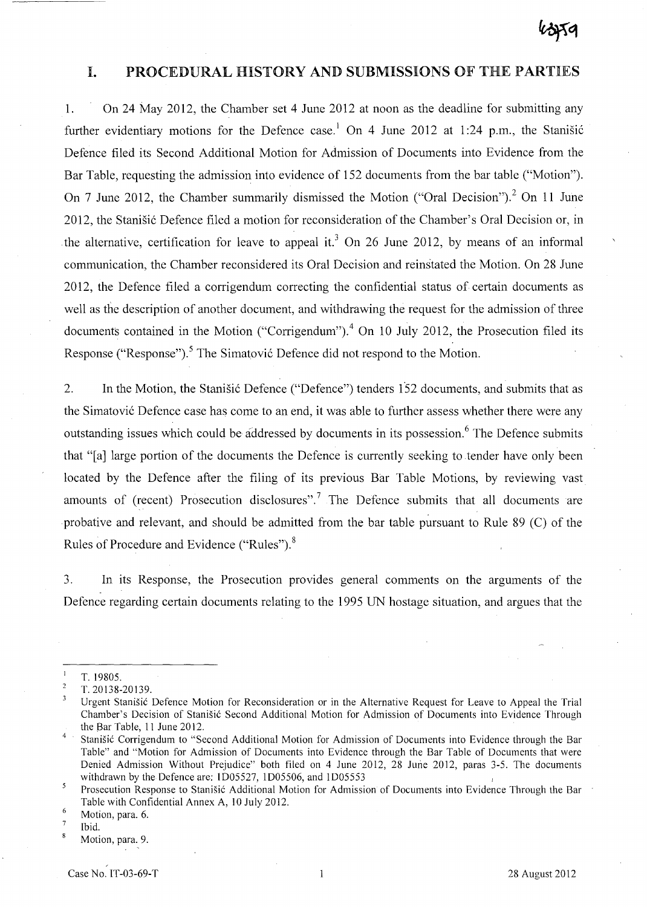# I. PROCEDURAL HISTORY AND SUBMISSIONS OF THE PARTIES

1. On 24 May 2012, the Chamber set 4 June 2012 at noon as the deadline for submitting any further evidentiary motions for the Defence case.<sup>1</sup> On 4 June 2012 at 1:24 p.m., the Stanisic Defence filed its Second Additional Motion for Admission of Documents into Evidence from the Bar Table, requesting the admission into evidence of 152 documents from the bar table ("Motion"). On 7 June 2012, the Chamber summarily dismissed the Motion ("Oral Decision").<sup>2</sup> On 11 June 2012, the Stanišić Defence filed a motion for reconsideration of the Chamber's Oral Decision or, in the alternative, certification for leave to appeal it.<sup>3</sup> On 26 June 2012, by means of an informal communication, the Chamber reconsidered its Oral Decision and reinstated the Motion. On 28 June 2012, the Defence filed a corrigendum correcting the confidential status of certain documents as well as the description of another document, and withdrawing the request for the admission of three documents contained in the Motion ("Corrigendum").<sup>4</sup> On 10 July 2012, the Prosecution filed its Response ("Response").<sup>5</sup> The Simatović Defence did not respond to the Motion.

2. In the Motion, the Stanišić Defence ("Defence") tenders 152 documents, and submits that as the Simatović Defence case has come to an end, it was able to further assess whether there were any outstanding issues which could be addressed by documents in its possession.<sup>6</sup> The Defence submits that "[a] large portion of the documents the Defence is currently seeking to tender have only been located by the Defence after the filing of its previous Bar Table Motions, by reviewing vast amounts of (recent) Prosecution disclosures".<sup>7</sup> The Defence submits that all documents are probative and relevant, and should be admitted from the bar table pursuant to Rule 89 (C) of the Rules of Procedure and Evidence ("Rules"). 8

3. In its Response, the Prosecution provides general comments on the arguments of the Defence regarding certain documents relating to the 1995 UN hostage situation, and argues that the

 $\overline{1}$ T. 19805.

 $\overline{c}$ T. 20138-20139.

 $\overline{\mathbf{3}}$ Urgent Stanisic Defence Motion for Reconsideration or in the Alternative Request for Leave to Appeal the Trial Chamber's Decision of Stanisic Second Additional Motion for Admission of Documents into Evidence Through the Bar Table, 11 June 2012.

<sup>4</sup>  Stanisic Corrigendum to "Second Additional Motion for Admission of Documents into Evidence through the Bar Table" and "Motion for Admission of Documents into Evidence through the Bar Table of Documents that were Denied Admission Without Prejudice" both filed on 4 June 2012, 28 June 2012, paras 3-5. The documents withdrawn by the Defence are: lD05527, lD05506, and lD05553

<sup>5</sup> Prosecution Response to Stanisic Additional Motion for Admission of Documents into Evidence Through the Bar Table with Confidential Annex A, 10 July 2012.

<sup>6</sup>  Motion, para. 6.

 $\overline{7}$ Ibid.  $\boldsymbol{8}$ 

Motion, para. 9.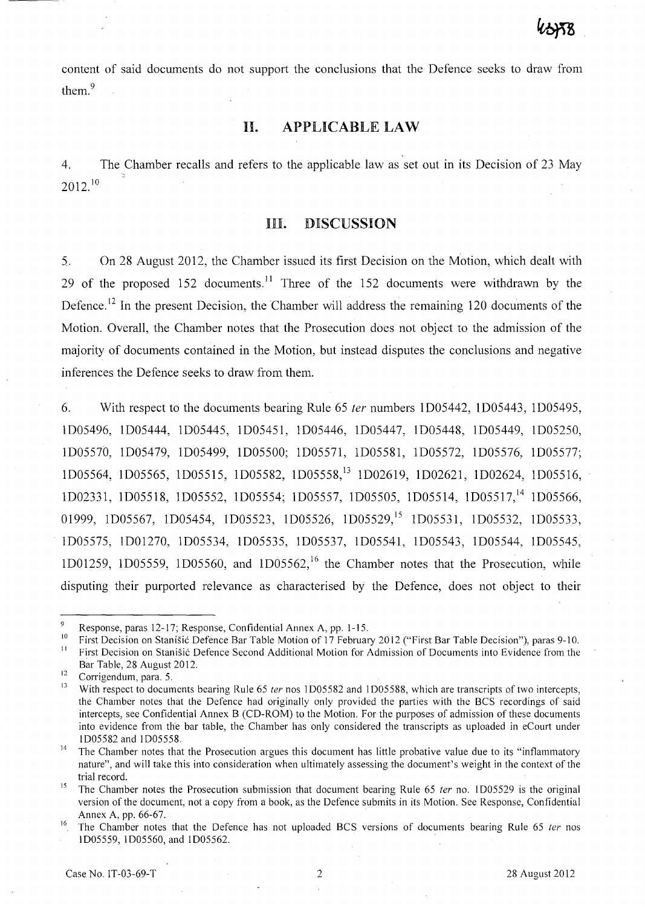content of said documents do not support the conclusions that the Defence seeks to draw from them.<sup>9</sup>

# **II. APPLICABLE LAW**

4. The Chamber recalls and refers to the applicable law as set out in its Decision of 23 May -  $2012.<sup>10</sup>$ 

#### **HI. DISCUSSION**

5. On 28 August 2012, the Chamber issued its first Decision on the Motion, which dealt with 29 of the proposed  $152$  documents.<sup>11</sup> Three of the 152 documents were withdrawn by the Defence.<sup>12</sup> In the present Decision, the Chamber will address the remaining 120 documents of the Motion. Overall, the Chamber notes that the Prosecution does not object to the admission of the majority of documents contained in the Motion, but instead disputes the conclusions and negative inferences the Defence seeks to draw from them.

6. With respect to the documents bearing Rule 65 fer numbers 1D05442, 1D05443, 1D05495, 1D05496, 1D05444, 1D05445, 1D05451, 1D05446, 1D05447, 1D05448, ID05449, ID05250, ID05570, 1D05479, 1D05499, 1D05500; 1D05571, 1D05581, 1D05572, ID05576, 1D05577; 1D05564, 1D05565, ID05515, 1D05582, ID05558,13 1D02619, 1D02621, 1D02624, 1D05516, ID02331, ID05518, ID05552, ID05554; ID05557, 1D05505, 1D05514, 1D05517,14 ID05566, 01999, 1D05567, 1D05454, 1D05523, 1D05526, 1D05529,<sup>15</sup> 1D05531, 1D05532, 1D05533, ID05575, ID01270, ID05534, ID05535, ID05537, ID05541, ID05543, 1D05544, 1D05545, 1D01259, 1D05559, 1D05560, and 1D05562,<sup>16</sup> the Chamber notes that the Prosecution, while disputing their purported relevance as characterised by the Defence, does not object to their

 $\Omega$ Response, paras 12-17; Response, Confidential Annex A, pp. 1-15.

<sup>&</sup>lt;sup>10</sup>First Decision on Stanišić Defence Bar Table Motion of 17 February 2012 ("First Bar Table Decision"), paras 9-10. <sup>11</sup>First Decision on Stanisic Defence Second Additional Motion for Admission of Documents into Evidence from the Bar Table, 28 August 2012.

 $\frac{12}{13}$  Corrigendum, para. 5.

With respect to documents bearing Rule 65 ter nos 1D05582 and 1D05588, which are transcripts of two intercepts, the Chamber notes that the Defence had originally only provided the parties with the BCS recordings of said intercepts, see Confidential Annex B (CD-ROM) to the Motion. For the purposes of admission of these documents into evidence from the bar table, the Chamber has only considered the transcripts as up loaded in eCourt under 1005582 and 1005558.

 $14$  The Chamber notes that the Prosecution argues this document has little probative value due to its "inflammatory" nature", and will take this into consideration when ultimately assessing the document's weight in the context of the trial record.

<sup>&</sup>lt;sup>15</sup> The Chamber notes the Prosecution submission that document bearing Rule 65 *ter* no. 1D05529 is the original version of the document, not a copy from a book, as the Defence subrnits in its Motion. See Response, Confidential Annex A, pp. 66-67.

<sup>&</sup>lt;sup>16</sup>. The Chamber notes that the Defence has not uploaded BCS versions of documents bearing Rule 65 ter nos 1005559, 1005560, and 1005562. .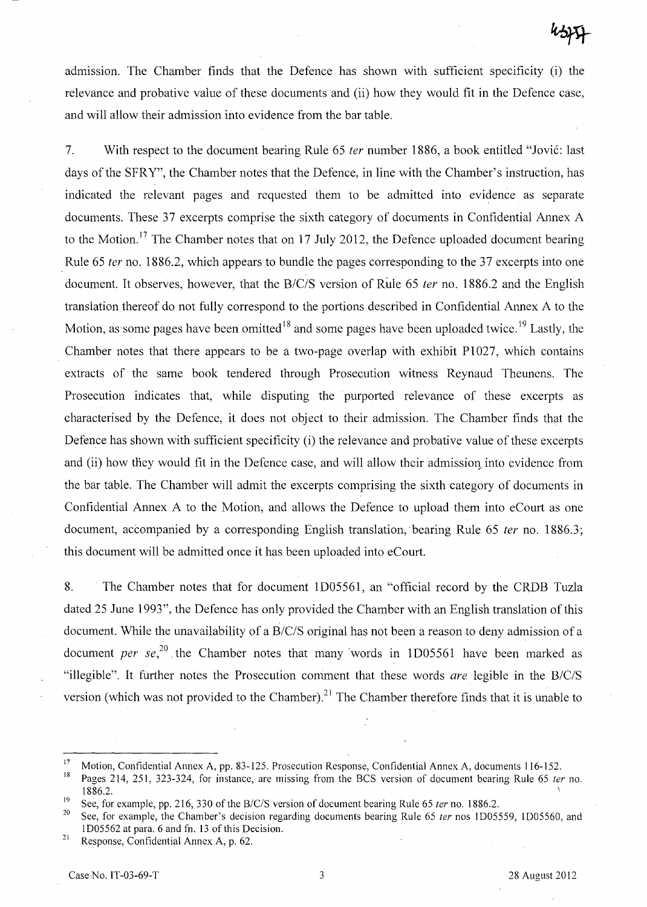admission. The Chamber finds that the Defence has shown with sufficient specificity (i) the relevance and probative value of these documents and (ii) how they would fit in the Defence case, and will allow their admission into evidence from the bar table.

7. With respect to the document bearing Rule 65 *ter* number 1886, a book entitled "Jović: last days of the SFRY", the Chamber notes that the Defence, in line with the Chamber's instruction, has indicated the relevant pages and requested them to be admitted into evidence as separate documents. These 37 excerpts comprise the sixth category of documents in Confidential Annex A to the Motion.<sup>17</sup> The Chamber notes that on 17 July 2012, the Defence uploaded document bearing Rule 65 fer no. 1886.2, which appears to bundle the pages corresponding to the 37 excerpts into one document. It observes, however, that the *B/C/S* version of Rule 65 fer no. 1886.2 and the English translation thereof do not fully correspond to the portions described in Confidential Annex A to the Motion, as some pages have been omitted<sup>18</sup> and some pages have been uploaded twice.<sup>19</sup> Lastly, the Chamber notes that there appears to be a two-page overlap with exhibit PI027, which contains extracts of the same book tendered through Prosecution witness Reynaud Theunens. The Prosecution indicates that, while disputing the purported relevance of these excerpts as characterised by the Defence, it does not object to their admission. The Chamber finds that the Defence has shown with sufficient specificity (i) the relevance and probative value of these excerpts and (ii) how they would fit in the Defence case, and will allow their admission into evidence from the bar table. The Chamber will admit the excerpts comprising the sixth category of documents in Confidential Annex A to the Motion, and allows the Defence to upload them into eCourt as one document, accompanied by a corresponding English translation, bearing Rule 65 ter no. 1886.3; this document will be admitted once it has been uploaded into eCourt.

8. The Chamber notes that for document ID05561, an "official record by the CRDB Tuzla dated 25 June 1993", the Defence has only provided the Chamber with an English translation of this document. While the unavailability of a *B/C/S* original has not been a reason to deny admission of a document per  $se^{20}$ , the Chamber notes that many words in 1D05561 have been marked as "illegible". It further notes the Prosecution comment that these words are legible in the *B/C/S*  version (which was not provided to the Chamber).<sup>21</sup> The Chamber therefore finds that it is unable to

<sup>&</sup>lt;sup>17</sup> Motion, Confidential Annex A, pp. 83-125. Prosecution Response, Confidential Annex A, documents 116-152.<br><sup>18</sup> Pegge 214, 251, 223, 224, for instance, are missing from the PCS version of document beguing Puls 65 to

Pages 214, 251, 323-324, for instance, are missing from the BCS version of document bearing Rule 65 ter no.  $1886.2.$ 

<sup>&</sup>lt;sup>19</sup> See, for example, pp. 216, 330 of the *B/C/S* version of document bearing Rule 65 *ter* no. 1886.2.<br><sup>20</sup> See, for example, the Chamber's doctring acquired documents begins Rule 65 *ter* nos. 10055

See, for example, the Chamber's decision regarding documents bearing Rule 65 ter nos 1D05559, 1D05560, and lD05562 at para, 6 and fn, 13 of this Decision.

<sup>&</sup>lt;sup>21</sup> Response, Confidential Annex A, p.  $62$ .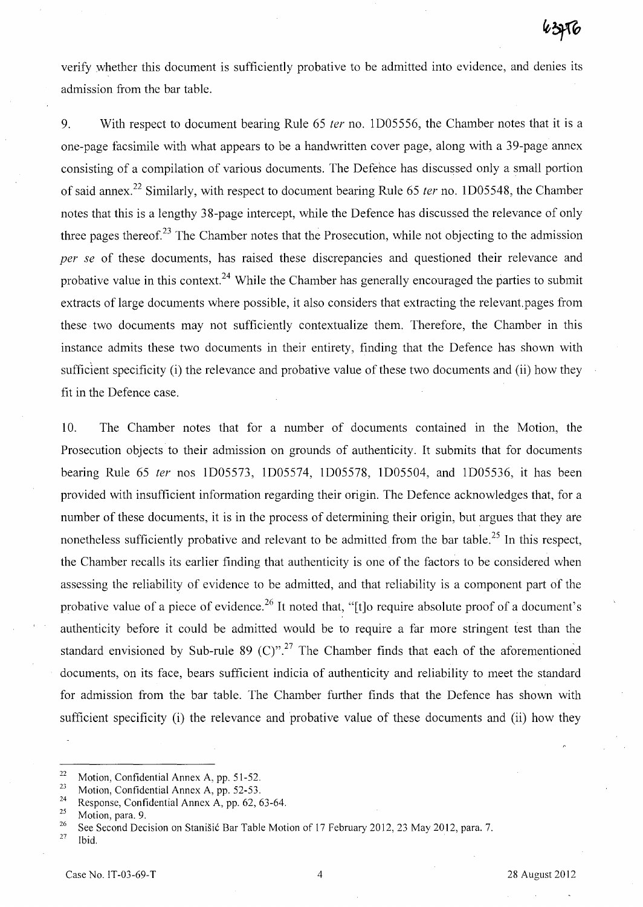verify whether this document is sufficiently probative to be admitted into evidence, and denies its admission from the bar table.

9. With respect to document bearing Rule 65 ter no. ID05556, the Chamber notes that it is a one-page facsimile with what appears to be a handwritten cover page, along with a 39-page annex consisting of a compilation of various documents. The Defence has discussed only a small portion of said annex.<sup>22</sup> Similarly, with respect to document bearing Rule 65 ter no. 1D05548, the Chamber notes that this is a lengthy 38-page intercept, while the Defence has discussed the relevance of only three pages thereof.<sup>23</sup> The Chamber notes that the Prosecution, while not objecting to the admission *per se* of these documents, has raised these discrepancies and questioned their relevance and probative value in this context.<sup>24</sup> While the Chamber has generally encouraged the parties to submit extracts of large documents where possible, it also considers that extracting the relevant.pages from these two documents may not sufficiently contextualize them. Therefore, the Chamber in this instance admits these two documents in their entirety, finding that the Defence has shown with sufficient specificity (i) the relevance and probative value of these two documents and (ii) how they fit in the Defence case.

10. The Chamber notes that for a number of documents contained in the Motion, the Prosecution objects to their admission on grounds of authenticity. It submits that for documents bearing Rule 65 fer nos ID05573, ID05574, ID05578, ID05504, and ID05536, it has been provided with insufficient information regarding their origin. The Defence acknowledges that, for a number of these documents, it is in the process of determining their origin, but argues that they are nonetheless sufficiently probative and relevant to be admitted from the bar table.<sup>25</sup> In this respect, the Chamber recalls its earlier finding that authenticity is one of the factors to be considered when assessing the reliability of evidence to be admitted, and that reliability is a component part of the probative value of a piece of evidence.<sup>26</sup> It noted that, "[t]o require absolute proof of a document's authenticity before it could be admitted would be to require a far more stringent test than the standard envisioned by Sub-rule 89 (C)".<sup>27</sup> The Chamber finds that each of the aforementioned documents, on its face, bears sufficient indicia of authenticity and reliability to meet the standard for admission from the bar table. The Chamber further finds that the Defence has shown with sufficient specificity (i) the relevance and probative value of these documents and (ii) how they

Ibid.

<sup>&</sup>lt;sup>22</sup> Motion, Confidential Annex A, pp. 51-52.

Motion, Confidential Annex A, pp. 52-53.

<sup>&</sup>lt;sup>24</sup> Response, Confidential Annex A, pp. 62, 63-64.

 $\frac{25}{26}$  Motion, para. 9.

<sup>&</sup>lt;sup>26</sup> See Second Decision on Stanišić Bar Table Motion of 17 February 2012, 23 May 2012, para. 7.<br><sup>27</sup> Ibid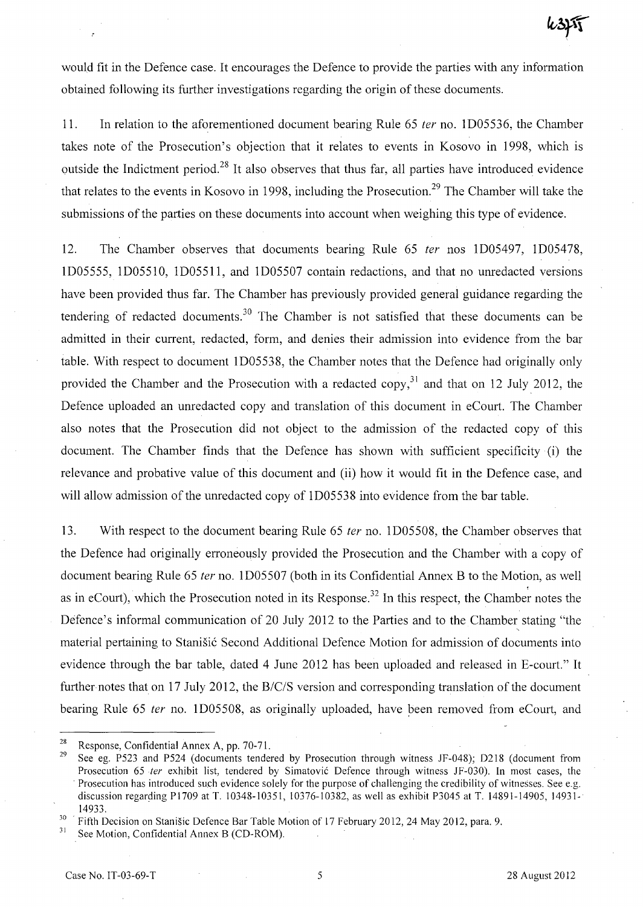would fit in the Defence case. It encourages the Defence to provide the parties with any information obtained following its further investigations regarding the origin of these documents.

11. In relation to the aforementioned document bearing Rule 65 ter no. 1D05536, the Chamber takes note of the Prosecution's objection that it relates to events in Kosovo in 1998, which is outside the Indictment period.<sup>28</sup> It also observes that thus far, all parties have introduced evidence that relates to the events in Kosovo in 1998, including the Prosecution.<sup>29</sup> The Chamber will take the submissions of the parties on these documents into account when weighing this type of evidence.

12. The Chamber observes that documents bearing Rule 65 ter nos 1D05497, 1D05478, 1D05555, ID05510, 1D05511, and 1D05507 contain redactions, and that no umedacted versions have been provided thus far. The Chamber has previously provided general guidance regarding the tendering of redacted documents.<sup>30</sup> The Chamber is not satisfied that these documents can be admitted in their current, redacted, form, and denies their admission into evidence from the bar table. With respect to document 1D05538, the Chamber notes that the Defence had originally only provided the Chamber and the Prosecution with a redacted copy,<sup>31</sup> and that on 12 July 2012, the Defence uploaded an umedacted copy and translation of this document in eCourt. The Chamber also notes that the Prosecution did not object to the admission of the redacted copy of this document. The Chamber finds that the Defence has shown with sufficient specificity (i) the relevance and probative value of this document and (ii) how it would fit in the Defence case, and will allow admission of the unredacted copy of 1D05538 into evidence from the bar table.

13. With respect to the document bearing Rule 65 ter no. 1D05508, the Chamber observes that the Defence had originally erroneously provided the Prosecution and the Chamber with a copy of document bearing Rule 65 ter no. 1D05507 (both in its Confidential Annex B to the Motion, as well as in eCourt), which the Prosecution noted in its Response.<sup>32</sup> In this respect, the Chamber notes the Defence's informal communication of 20 July 2012 to the Parties and to the Chamber stating "the material pertaining to Stanišić Second Additional Defence Motion for admission of documents into evidence through the bar table, dated 4 June 2012 has been uploaded and released in E-court." It further notes that on 17 July 2012, the *B/c/S* version and corresponding translation of the document bearing Rule 65 ter no. 1D05508, as originally uploaded, have been removed from eCourt, and

<sup>&</sup>lt;sup>28</sup> Response, Confidential Annex A, pp. 70-71.<br><sup>29</sup> See as B522 and B524 (decuments tender

See eg. P523 and P524 (documents tendered by Prosecution through witness JF-048); D218 (document from Prosecution 65 ter exhibit list, tendered by Simatovic Defence through witness JF-030). In most cases, the Prosecution has introduced such evidence solely for the purpose of challenging the credibility of witnesses. See e.g. discussion regarding P1709 at T. 10348-10351, 10376-10382, as well as exhibit P3045 at T. 14891-14905,14931- 14933.

 $30^{30}$  Fifth Decision on Stanisic Defence Bar Table Motion of 17 February 2012, 24 May 2012, para. 9.

See Motion, Confidential Annex B (CD-ROM).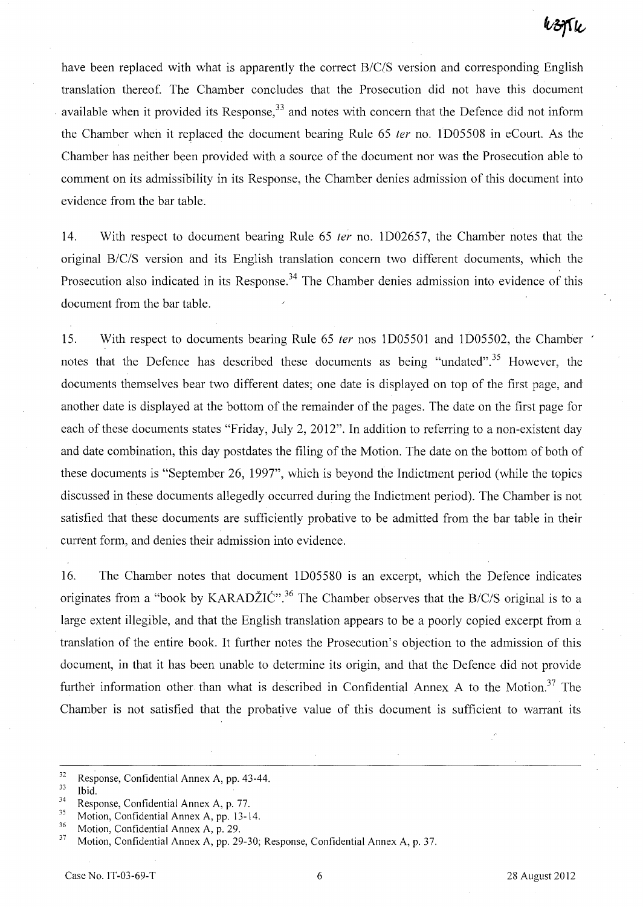have been replaced with what is apparently the correct *B/C/S* version and corresponding English translation thereof. The Chamber concludes that the Prosecution did not have this document available when it provided its Response.<sup>33</sup> and notes with concern that the Defence did not inform the Chamber when it replaced the document bearing Rule 65 ter no. ID05508 in eCourt. As the Chamber has neither been provided with a source of the document nor was the Prosecution able to comment on its admissibility in its Response, the Chamber denies admission of this document into evidence from the bar table.

14. With respect to document bearing Rule 65 ter no. ID02657, the Chamber notes that the original *B/C/S* version and its English translation concern two different documents, which the Prosecution also indicated in its Response.<sup>34</sup> The Chamber denies admission into evidence of this document from the bar table.

15. With respect to documents bearing Rule 65 *ter* nos 1D05501 and 1D05502, the Chamber notes that the Defence has described these documents as being "undated".<sup>35</sup> However, the documents themselves bear two different dates; one date is displayed on top of the first page, and another date is displayed at the bottom of the remainder of the pages. The date on the first page for each of these documents states "Friday, July 2,2012". In addition to referring to a non-existent day and date combination, this day postdates the filing of the Motion. The date on the bottom of both of these documents is "September 26, 1997", which is beyond the Indictment period (while the topics discussed in these documents allegedly occurred during the Indictment period). The Chamber is not satisfied that these documents are sufficiently probative to be admitted from the bar table in their current form, and denies their admission into evidence.

16. The Chamber notes that document ID05580 is an excerpt, which the Defence indicates originates from a "book by KARADŽIĆ".<sup>36</sup> The Chamber observes that the *B/C/S* original is to a large extent illegible, and that the English translation appears to be a poorly copied excerpt from a translation of the entire book. It further notes the Prosecution's objection to the admission of this document, in that it has been unable to determine its origin, and that the Defence did hot provide further information other than what is described in Confidential Annex A to the Motion.<sup>37</sup> The Chamber is not satisfied that the probative value of this document is sufficient to warrant its

 $\frac{32}{33}$  Response, Confidential Annex A, pp. 43-44.

Ibid.

<sup>&</sup>lt;sup>34</sup> Response, Confidential Annex A, p. 77.

 $^{35}$  Motion, Confidential Annex A, pp. 13-14.

<sup>&</sup>lt;sup>36</sup> Motion, Confidential Annex A, p. 29.<br><sup>37</sup> Motion, Confidential Annex A, pp. 29.

<sup>37</sup> Motion, Confidential Annex A, pp. 29-30; Response, Confidential Annex A, p. 37.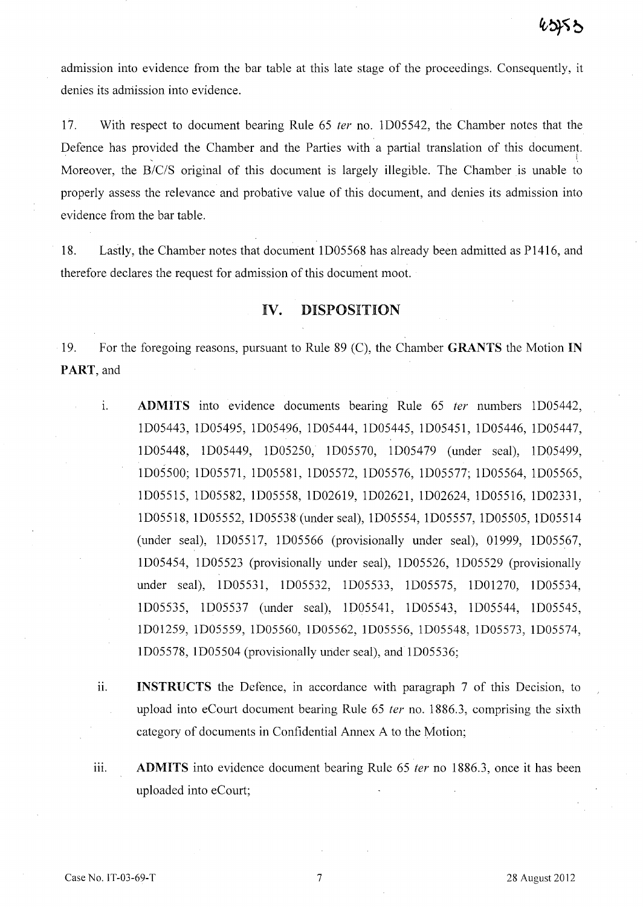admission into evidence from the bar table at this late stage of the proceedings. Consequently, it denies its admission into evidence.

17. With respect to document bearing Rule 65 *ter* no. ID05542, the Chamber notes that the Defence has provided the Chamber and the Parties with a partial translation of this document. Moreover, the *B/C/S* original of this document is largely illegible. The Chamber is unable to properly assess the relevance and probative value of this document, and denies its admission into evidence from the bar table.

18. Lastly, the Chamber notes that document ID05568 has already been admitted as P1416, and therefore declares the request for admission of this document moot.

### IV. DISPOSITION

19. For the foregoing reasons, pursuant to Rule 89 (C), the Chamber GRANTS the Motion IN PART, and

- 1. ADMITS into evidence documents bearing Rule 65 *ter* numbers lD05442, ID05443, ID05495, ID05496, ID05444, ID05445, ID05451, ID05446, ID05447, ID05448, ID05449, ID05250, lD05570, ID05479 (under seal), lD05499, ID05500; ID05571, ID05581, ID05572, ID05576, ID05577; ID05564, ID05565, ID05515, ID05582, ID05558, ID02619, ID02621, ID02624, ID05516, ID02331, ID05518, ID05552, ID05538 (under seal), ID05554, ID05557, ID05505, ID05514 (under seal), ID05517, ID05566 (provisionally under seal), 01999, ID05567, ID05454, ID05523 (provisionally under seal), ID05526, ID05529 (provisionally under seal), ID05531, ID05532, ID05533, ID05575, ID01270, lD05534, ID05535, ID05537 (under seal), ID05541, ID05543, ID05544, ID05545, ID01259, ID05559, ID05560, ID05562, 1D05556, ID05548, ID05573, ID05574, ID05578, ID05504 (provisionally under seal), and ID05536;
- ii. **INSTRUCTS** the Defence, in accordance with paragraph 7 of this Decision, to upload into eCourt document bearing Rule 65 *ter* no. 1886.3, comprising the sixth category of documents in Confidential Annex A to the Motion;
- iii. **ADMITS** into evidence document bearing Rule 65 *ter* no 1886.3, once it has been uploaded into eCourt;